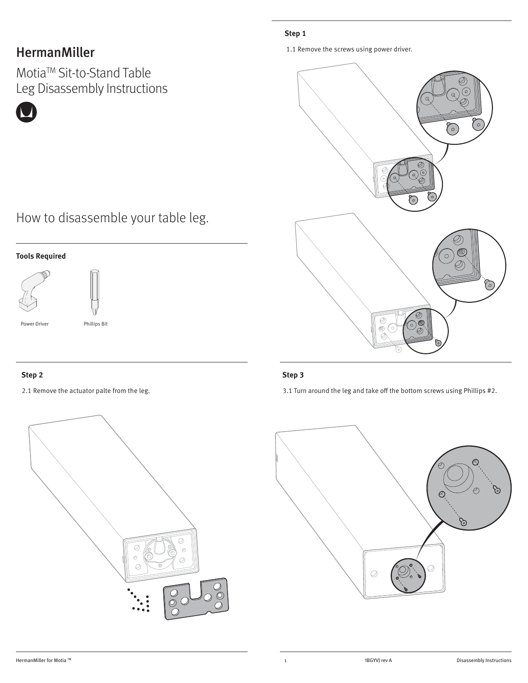## HermanMiller

MotiaTM Sit-to-Stand Table Leg Disassembly Instructions

### **Step 1**

1.1 Remove the screws using power driver.



## How to disassemble your table leg.

### **Tools Required**



Power Driver **Phillips Bit** 



#### **Step 2** Step 3

2.1 Remove the actuator palte from the leg. 3.1 Turn around the leg and take off the bottom screws using Phillips #2.

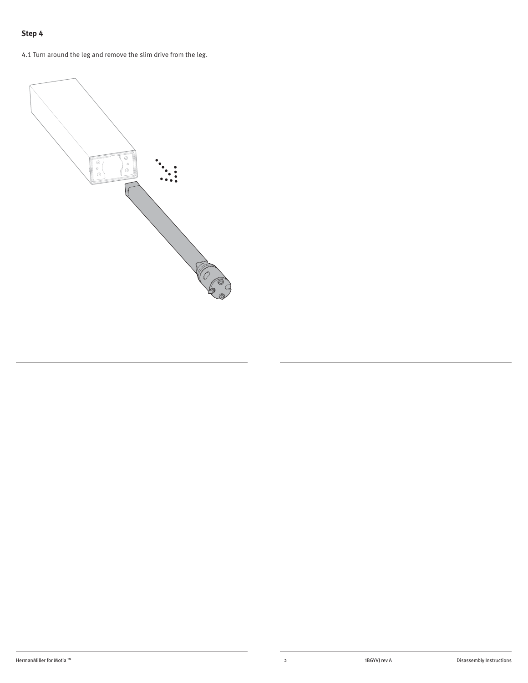### **Step 4**

4.1 Turn around the leg and remove the slim drive from the leg.

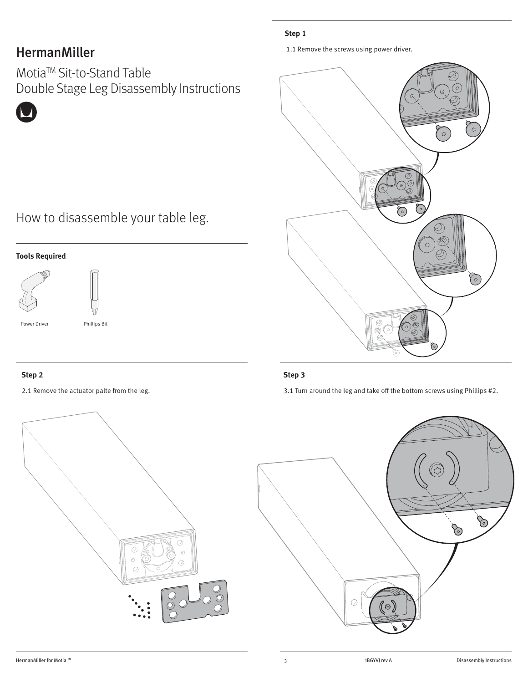## HermanMiller

MotiaTM Sit-to-Stand Table Double Stage Leg Disassembly Instructions

## **Step 1**

1.1 Remove the screws using power driver.



# How to disassemble your table leg.

### **Tools Required**





Phillips Bit

Power Driver



#### **Step 2** Step 3

2.1 Remove the actuator palte from the leg. 3.1 Turn around the leg and take off the bottom screws using Phillips #2.